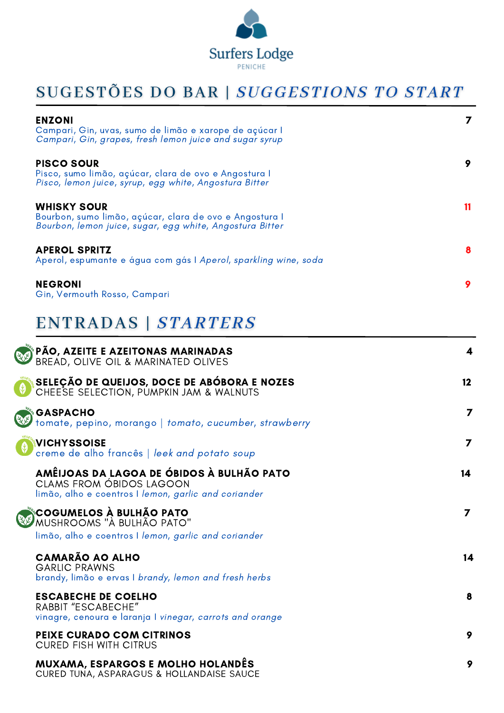

## SUGESTÕES DO BAR | SUGGESTIONS TO START

| <b>ENZONI</b><br>Campari, Gin, uvas, sumo de limão e xarope de açúcar l<br>Campari, Gin, grapes, fresh lemon juice and sugar syrup        |   |
|-------------------------------------------------------------------------------------------------------------------------------------------|---|
| <b>PISCO SOUR</b><br>Pisco, sumo limão, açúcar, clara de ovo e Angostura I<br>Pisco, lemon juice, syrup, egg white, Angostura Bitter      | 9 |
| <b>WHISKY SOUR</b><br>Bourbon, sumo limão, açúcar, clara de ovo e Angostura I<br>Bourbon, lemon juice, sugar, egg white, Angostura Bitter |   |
| <b>APEROL SPRITZ</b><br>Aperol, espumante e água com gás I Aperol, sparkling wine, soda                                                   | 8 |
| <b>NEGRONI</b><br>Gin, Vermouth Rosso, Campari                                                                                            | 9 |

## ENTRADAS | STARTERS

| PÃO, AZEITE E AZEITONAS MARINADAS<br>BREAD, OLIVE OIL & MARINATED OLIVES                                                      | 4              |
|-------------------------------------------------------------------------------------------------------------------------------|----------------|
| SELEÇÃO DE QUEIJOS, DOCE DE ABÓBORA E NOZES<br>CHEESE SELECTION, PUMPKIN JAM & WALNUTS                                        | 12             |
| <b>GASPACHO</b><br>tomate, pepino, morango   <i>tomato, cucumber, strawberry</i>                                              | $\overline{7}$ |
| VICHYSSOISE<br>creme de alho francês   leek and potato soup                                                                   | $\overline{ }$ |
| AMÊIJOAS DA LAGOA DE ÓBIDOS À BULHÃO PATO<br>CLAMS FROM ÓBIDOS LAGOON<br>limão, alho e coentros I lemon, garlic and coriander | 14             |
| <b>¢COGUMELOS À BULHÃO PATO</b><br>MUSHROOMS "À BULHÃO PATO"<br>limão, alho e coentros I lemon, garlic and coriander          | $\overline{ }$ |
| <b>CAMARÃO AO ALHO</b><br><b>GARLIC PRAWNS</b><br>brandy, limão e ervas I brandy, lemon and fresh herbs                       | 14             |
| <b>ESCABECHE DE COELHO</b><br><b>RABBIT "ESCABECHE"</b><br>vinagre, cenoura e laranja I vinegar, carrots and orange           | 8              |
| PEIXE CURADO COM CITRINOS<br><b>CURED FISH WITH CITRUS</b>                                                                    | 9              |
| MUXAMA, ESPARGOS E MOLHO HOLANDÊS<br>CURED TUNA, ASPARAGUS & HOLLANDAISE SAUCE                                                | 9              |